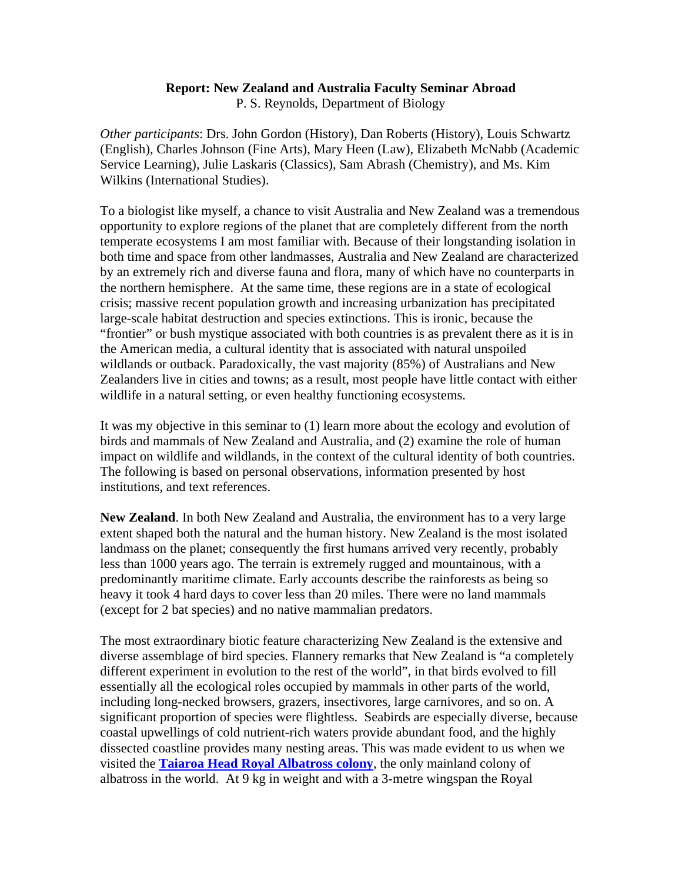## **Report: New Zealand and Australia Faculty Seminar Abroad**  P. S. Reynolds, Department of Biology

*Other participants*: Drs. John Gordon (History), Dan Roberts (History), Louis Schwartz (English), Charles Johnson (Fine Arts), Mary Heen (Law), Elizabeth McNabb (Academic Service Learning), Julie Laskaris (Classics), Sam Abrash (Chemistry), and Ms. Kim Wilkins (International Studies).

To a biologist like myself, a chance to visit Australia and New Zealand was a tremendous opportunity to explore regions of the planet that are completely different from the north temperate ecosystems I am most familiar with. Because of their longstanding isolation in both time and space from other landmasses, Australia and New Zealand are characterized by an extremely rich and diverse fauna and flora, many of which have no counterparts in the northern hemisphere. At the same time, these regions are in a state of ecological crisis; massive recent population growth and increasing urbanization has precipitated large-scale habitat destruction and species extinctions. This is ironic, because the "frontier" or bush mystique associated with both countries is as prevalent there as it is in the American media, a cultural identity that is associated with natural unspoiled wildlands or outback. Paradoxically, the vast majority (85%) of Australians and New Zealanders live in cities and towns; as a result, most people have little contact with either wildlife in a natural setting, or even healthy functioning ecosystems.

It was my objective in this seminar to (1) learn more about the ecology and evolution of birds and mammals of New Zealand and Australia, and (2) examine the role of human impact on wildlife and wildlands, in the context of the cultural identity of both countries. The following is based on personal observations, information presented by host institutions, and text references.

**New Zealand**. In both New Zealand and Australia, the environment has to a very large extent shaped both the natural and the human history. New Zealand is the most isolated landmass on the planet; consequently the first humans arrived very recently, probably less than 1000 years ago. The terrain is extremely rugged and mountainous, with a predominantly maritime climate. Early accounts describe the rainforests as being so heavy it took 4 hard days to cover less than 20 miles. There were no land mammals (except for 2 bat species) and no native mammalian predators.

The most extraordinary biotic feature characterizing New Zealand is the extensive and diverse assemblage of bird species. Flannery remarks that New Zealand is "a completely different experiment in evolution to the rest of the world", in that birds evolved to fill essentially all the ecological roles occupied by mammals in other parts of the world, including long-necked browsers, grazers, insectivores, large carnivores, and so on. A significant proportion of species were flightless. Seabirds are especially diverse, because coastal upwellings of cold nutrient-rich waters provide abundant food, and the highly dissected coastline provides many nesting areas. This was made evident to us when we visited the **Taiaroa Head Royal Albatross colony**, the only mainland colony of albatross in the world. At 9 kg in weight and with a 3-metre wingspan the Royal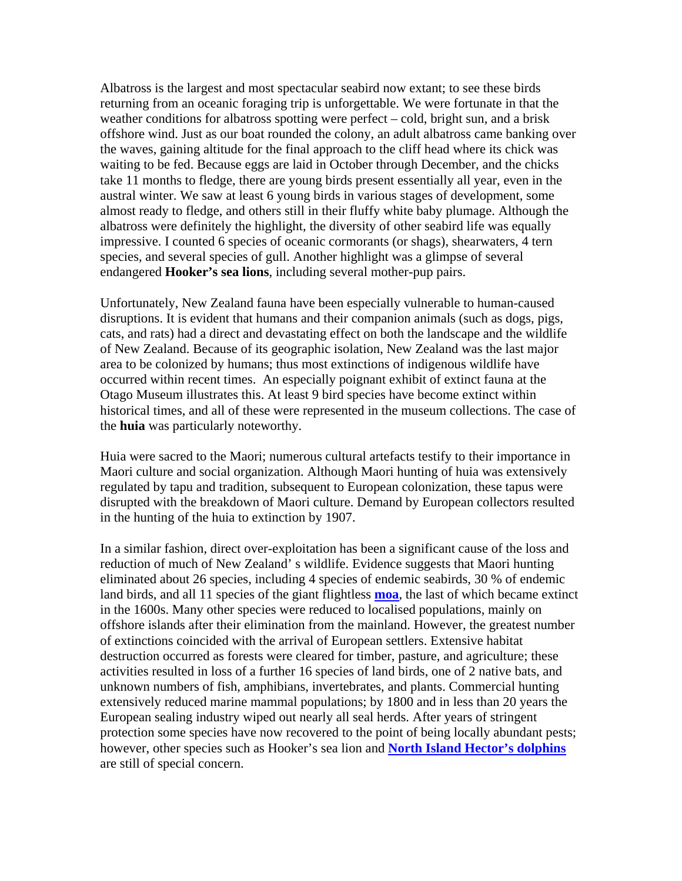Albatross is the largest and most spectacular seabird now extant; to see these birds returning from an oceanic foraging trip is unforgettable. We were fortunate in that the weather conditions for albatross spotting were perfect – cold, bright sun, and a brisk offshore wind. Just as our boat rounded the colony, an adult albatross came banking over the waves, gaining altitude for the final approach to the cliff head where its chick was waiting to be fed. Because eggs are laid in October through December, and the chicks take 11 months to fledge, there are young birds present essentially all year, even in the austral winter. We saw at least 6 young birds in various stages of development, some almost ready to fledge, and others still in their fluffy white baby plumage. Although the albatross were definitely the highlight, the diversity of other seabird life was equally impressive. I counted 6 species of oceanic cormorants (or shags), shearwaters, 4 tern species, and several species of gull. Another highlight was a glimpse of several endangered **Hooker's sea lions**, including several mother-pup pairs.

Unfortunately, New Zealand fauna have been especially vulnerable to human-caused disruptions. It is evident that humans and their companion animals (such as dogs, pigs, cats, and rats) had a direct and devastating effect on both the landscape and the wildlife of New Zealand. Because of its geographic isolation, New Zealand was the last major area to be colonized by humans; thus most extinctions of indigenous wildlife have occurred within recent times. An especially poignant exhibit of extinct fauna at the Otago Museum illustrates this. At least 9 bird species have become extinct within historical times, and all of these were represented in the museum collections. The case of the **huia** was particularly noteworthy.

Huia were sacred to the Maori; numerous cultural artefacts testify to their importance in Maori culture and social organization. Although Maori hunting of huia was extensively regulated by tapu and tradition, subsequent to European colonization, these tapus were disrupted with the breakdown of Maori culture. Demand by European collectors resulted in the hunting of the huia to extinction by 1907.

In a similar fashion, direct over-exploitation has been a significant cause of the loss and reduction of much of New Zealand' s wildlife. Evidence suggests that Maori hunting eliminated about 26 species, including 4 species of endemic seabirds, 30 % of endemic land birds, and all 11 species of the giant flightless **moa**, the last of which became extinct in the 1600s. Many other species were reduced to localised populations, mainly on offshore islands after their elimination from the mainland. However, the greatest number of extinctions coincided with the arrival of European settlers. Extensive habitat destruction occurred as forests were cleared for timber, pasture, and agriculture; these activities resulted in loss of a further 16 species of land birds, one of 2 native bats, and unknown numbers of fish, amphibians, invertebrates, and plants. Commercial hunting extensively reduced marine mammal populations; by 1800 and in less than 20 years the European sealing industry wiped out nearly all seal herds. After years of stringent protection some species have now recovered to the point of being locally abundant pests; however, other species such as Hooker's sea lion and **North Island Hector's dolphins** are still of special concern.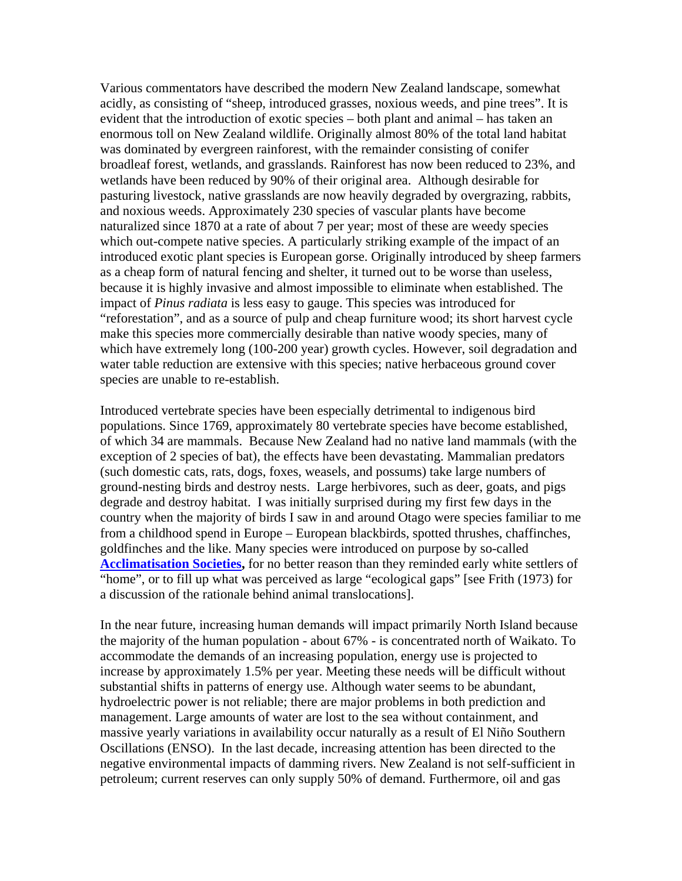Various commentators have described the modern New Zealand landscape, somewhat acidly, as consisting of "sheep, introduced grasses, noxious weeds, and pine trees". It is evident that the introduction of exotic species – both plant and animal – has taken an enormous toll on New Zealand wildlife. Originally almost 80% of the total land habitat was dominated by evergreen rainforest, with the remainder consisting of conifer broadleaf forest, wetlands, and grasslands. Rainforest has now been reduced to 23%, and wetlands have been reduced by 90% of their original area. Although desirable for pasturing livestock, native grasslands are now heavily degraded by overgrazing, rabbits, and noxious weeds. Approximately 230 species of vascular plants have become naturalized since 1870 at a rate of about 7 per year; most of these are weedy species which out-compete native species. A particularly striking example of the impact of an introduced exotic plant species is European gorse. Originally introduced by sheep farmers as a cheap form of natural fencing and shelter, it turned out to be worse than useless, because it is highly invasive and almost impossible to eliminate when established. The impact of *Pinus radiata* is less easy to gauge. This species was introduced for "reforestation", and as a source of pulp and cheap furniture wood; its short harvest cycle make this species more commercially desirable than native woody species, many of which have extremely long (100-200 year) growth cycles. However, soil degradation and water table reduction are extensive with this species; native herbaceous ground cover species are unable to re-establish.

Introduced vertebrate species have been especially detrimental to indigenous bird populations. Since 1769, approximately 80 vertebrate species have become established, of which 34 are mammals. Because New Zealand had no native land mammals (with the exception of 2 species of bat), the effects have been devastating. Mammalian predators (such domestic cats, rats, dogs, foxes, weasels, and possums) take large numbers of ground-nesting birds and destroy nests. Large herbivores, such as deer, goats, and pigs degrade and destroy habitat. I was initially surprised during my first few days in the country when the majority of birds I saw in and around Otago were species familiar to me from a childhood spend in Europe – European blackbirds, spotted thrushes, chaffinches, goldfinches and the like. Many species were introduced on purpose by so-called **Acclimatisation Societies,** for no better reason than they reminded early white settlers of "home", or to fill up what was perceived as large "ecological gaps" [see Frith (1973) for a discussion of the rationale behind animal translocations].

In the near future, increasing human demands will impact primarily North Island because the majority of the human population - about 67% - is concentrated north of Waikato. To accommodate the demands of an increasing population, energy use is projected to increase by approximately 1.5% per year. Meeting these needs will be difficult without substantial shifts in patterns of energy use. Although water seems to be abundant, hydroelectric power is not reliable; there are major problems in both prediction and management. Large amounts of water are lost to the sea without containment, and massive yearly variations in availability occur naturally as a result of El Niño Southern Oscillations (ENSO). In the last decade, increasing attention has been directed to the negative environmental impacts of damming rivers. New Zealand is not self-sufficient in petroleum; current reserves can only supply 50% of demand. Furthermore, oil and gas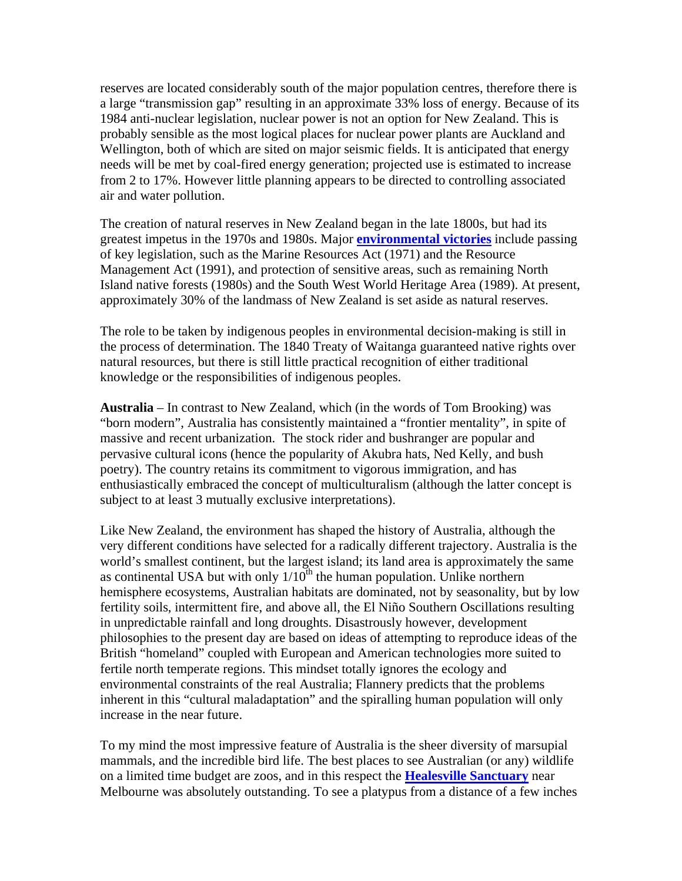reserves are located considerably south of the major population centres, therefore there is a large "transmission gap" resulting in an approximate 33% loss of energy. Because of its 1984 anti-nuclear legislation, nuclear power is not an option for New Zealand. This is probably sensible as the most logical places for nuclear power plants are Auckland and Wellington, both of which are sited on major seismic fields. It is anticipated that energy needs will be met by coal-fired energy generation; projected use is estimated to increase from 2 to 17%. However little planning appears to be directed to controlling associated air and water pollution.

The creation of natural reserves in New Zealand began in the late 1800s, but had its greatest impetus in the 1970s and 1980s. Major **environmental victories** include passing of key legislation, such as the Marine Resources Act (1971) and the Resource Management Act (1991), and protection of sensitive areas, such as remaining North Island native forests (1980s) and the South West World Heritage Area (1989). At present, approximately 30% of the landmass of New Zealand is set aside as natural reserves.

The role to be taken by indigenous peoples in environmental decision-making is still in the process of determination. The 1840 Treaty of Waitanga guaranteed native rights over natural resources, but there is still little practical recognition of either traditional knowledge or the responsibilities of indigenous peoples.

**Australia** – In contrast to New Zealand, which (in the words of Tom Brooking) was "born modern", Australia has consistently maintained a "frontier mentality", in spite of massive and recent urbanization. The stock rider and bushranger are popular and pervasive cultural icons (hence the popularity of Akubra hats, Ned Kelly, and bush poetry). The country retains its commitment to vigorous immigration, and has enthusiastically embraced the concept of multiculturalism (although the latter concept is subject to at least 3 mutually exclusive interpretations).

Like New Zealand, the environment has shaped the history of Australia, although the very different conditions have selected for a radically different trajectory. Australia is the world's smallest continent, but the largest island; its land area is approximately the same as continental USA but with only  $1/10^{th}$  the human population. Unlike northern hemisphere ecosystems, Australian habitats are dominated, not by seasonality, but by low fertility soils, intermittent fire, and above all, the El Niño Southern Oscillations resulting in unpredictable rainfall and long droughts. Disastrously however, development philosophies to the present day are based on ideas of attempting to reproduce ideas of the British "homeland" coupled with European and American technologies more suited to fertile north temperate regions. This mindset totally ignores the ecology and environmental constraints of the real Australia; Flannery predicts that the problems inherent in this "cultural maladaptation" and the spiralling human population will only increase in the near future.

To my mind the most impressive feature of Australia is the sheer diversity of marsupial mammals, and the incredible bird life. The best places to see Australian (or any) wildlife on a limited time budget are zoos, and in this respect the **Healesville Sanctuary** near Melbourne was absolutely outstanding. To see a platypus from a distance of a few inches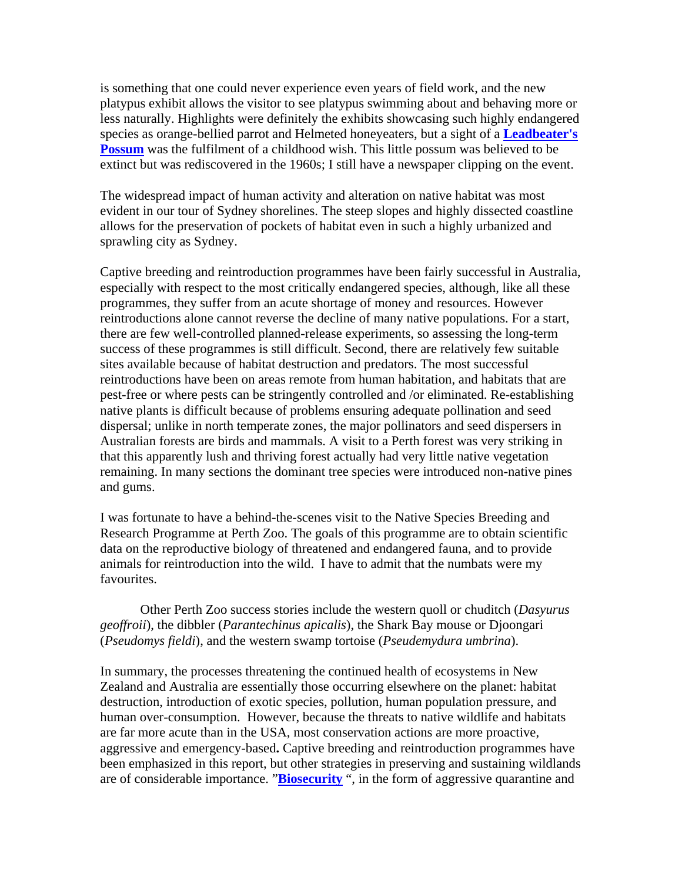is something that one could never experience even years of field work, and the new platypus exhibit allows the visitor to see platypus swimming about and behaving more or less naturally. Highlights were definitely the exhibits showcasing such highly endangered species as orange-bellied parrot and Helmeted honeyeaters, but a sight of a **Leadbeater's Possum** was the fulfilment of a childhood wish. This little possum was believed to be extinct but was rediscovered in the 1960s; I still have a newspaper clipping on the event.

The widespread impact of human activity and alteration on native habitat was most evident in our tour of Sydney shorelines. The steep slopes and highly dissected coastline allows for the preservation of pockets of habitat even in such a highly urbanized and sprawling city as Sydney.

Captive breeding and reintroduction programmes have been fairly successful in Australia, especially with respect to the most critically endangered species, although, like all these programmes, they suffer from an acute shortage of money and resources. However reintroductions alone cannot reverse the decline of many native populations. For a start, there are few well-controlled planned-release experiments, so assessing the long-term success of these programmes is still difficult. Second, there are relatively few suitable sites available because of habitat destruction and predators. The most successful reintroductions have been on areas remote from human habitation, and habitats that are pest-free or where pests can be stringently controlled and /or eliminated. Re-establishing native plants is difficult because of problems ensuring adequate pollination and seed dispersal; unlike in north temperate zones, the major pollinators and seed dispersers in Australian forests are birds and mammals. A visit to a Perth forest was very striking in that this apparently lush and thriving forest actually had very little native vegetation remaining. In many sections the dominant tree species were introduced non-native pines and gums.

I was fortunate to have a behind-the-scenes visit to the Native Species Breeding and Research Programme at Perth Zoo. The goals of this programme are to obtain scientific data on the reproductive biology of threatened and endangered fauna, and to provide animals for reintroduction into the wild. I have to admit that the numbats were my favourites.

Other Perth Zoo success stories include the western quoll or chuditch (*Dasyurus geoffroii*), the dibbler (*Parantechinus apicalis*), the Shark Bay mouse or Djoongari (*Pseudomys fieldi*), and the western swamp tortoise (*Pseudemydura umbrina*).

In summary, the processes threatening the continued health of ecosystems in New Zealand and Australia are essentially those occurring elsewhere on the planet: habitat destruction, introduction of exotic species, pollution, human population pressure, and human over-consumption. However, because the threats to native wildlife and habitats are far more acute than in the USA, most conservation actions are more proactive, aggressive and emergency-based**.** Captive breeding and reintroduction programmes have been emphasized in this report, but other strategies in preserving and sustaining wildlands are of considerable importance. "**Biosecurity** ", in the form of aggressive quarantine and